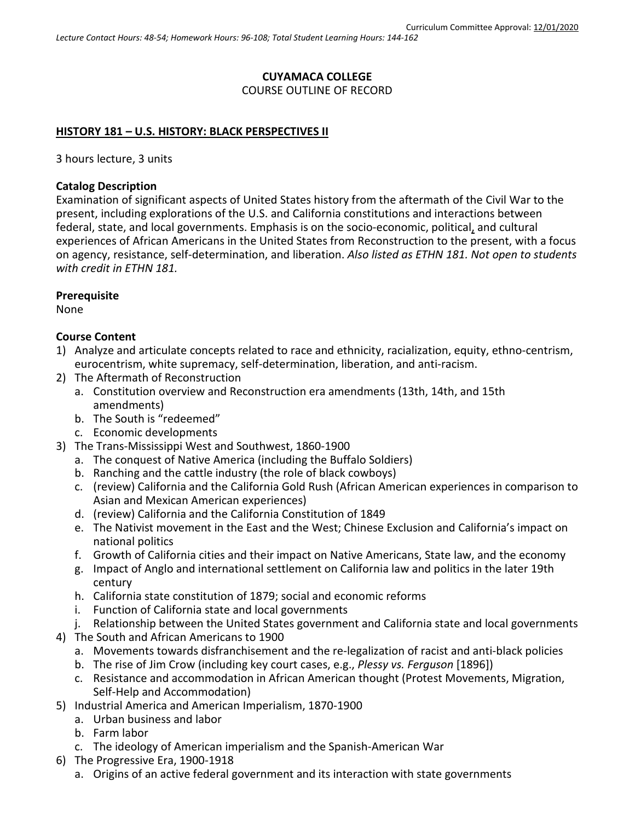# **CUYAMACA COLLEGE** COURSE OUTLINE OF RECORD

#### **HISTORY 181 – U.S. HISTORY: BLACK PERSPECTIVES II**

3 hours lecture, 3 units

#### **Catalog Description**

Examination of significant aspects of United States history from the aftermath of the Civil War to the present, including explorations of the U.S. and California constitutions and interactions between federal, state, and local governments. Emphasis is on the socio-economic, political, and cultural experiences of African Americans in the United States from Reconstruction to the present, with a focus on agency, resistance, self-determination, and liberation. *Also listed as ETHN 181. Not open to students with credit in ETHN 181.*

#### **Prerequisite**

None

#### **Course Content**

- 1) Analyze and articulate concepts related to race and ethnicity, racialization, equity, ethno-centrism, eurocentrism, white supremacy, self-determination, liberation, and anti-racism.
- 2) The Aftermath of Reconstruction
	- a. Constitution overview and Reconstruction era amendments (13th, 14th, and 15th amendments)
	- b. The South is "redeemed"
	- c. Economic developments
- 3) The Trans-Mississippi West and Southwest, 1860-1900
	- a. The conquest of Native America (including the Buffalo Soldiers)
	- b. Ranching and the cattle industry (the role of black cowboys)
	- c. (review) California and the California Gold Rush (African American experiences in comparison to Asian and Mexican American experiences)
	- d. (review) California and the California Constitution of 1849
	- e. The Nativist movement in the East and the West; Chinese Exclusion and California's impact on national politics
	- f. Growth of California cities and their impact on Native Americans, State law, and the economy
	- g. Impact of Anglo and international settlement on California law and politics in the later 19th century
	- h. California state constitution of 1879; social and economic reforms
	- i. Function of California state and local governments
	- j. Relationship between the United States government and California state and local governments
- 4) The South and African Americans to 1900
	- a. Movements towards disfranchisement and the re-legalization of racist and anti-black policies
	- b. The rise of Jim Crow (including key court cases, e.g., *Plessy vs. Ferguson* [1896])
	- c. Resistance and accommodation in African American thought (Protest Movements, Migration, Self-Help and Accommodation)
- 5) Industrial America and American Imperialism, 1870-1900
	- a. Urban business and labor
	- b. Farm labor
	- c. The ideology of American imperialism and the Spanish-American War
- 6) The Progressive Era, 1900-1918
	- a. Origins of an active federal government and its interaction with state governments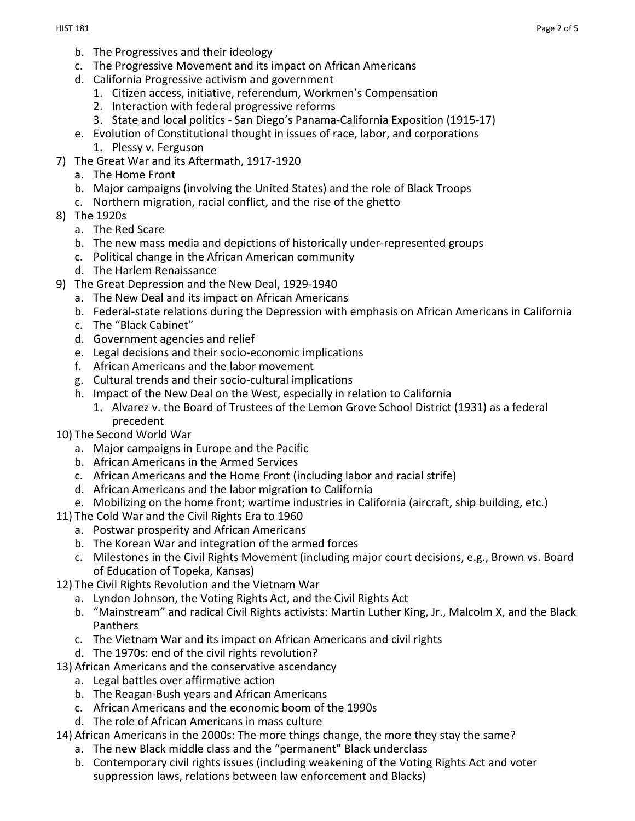- b. The Progressives and their ideology
- c. The Progressive Movement and its impact on African Americans
- d. California Progressive activism and government
	- 1. Citizen access, initiative, referendum, Workmen's Compensation
	- 2. Interaction with federal progressive reforms
	- 3. State and local politics San Diego's Panama-California Exposition (1915-17)
- e. Evolution of Constitutional thought in issues of race, labor, and corporations 1. Plessy v. Ferguson
- 7) The Great War and its Aftermath, 1917-1920
	- a. The Home Front
	- b. Major campaigns (involving the United States) and the role of Black Troops
	- c. Northern migration, racial conflict, and the rise of the ghetto
- 8) The 1920s
	- a. The Red Scare
	- b. The new mass media and depictions of historically under-represented groups
	- c. Political change in the African American community
	- d. The Harlem Renaissance
- 9) The Great Depression and the New Deal, 1929-1940
	- a. The New Deal and its impact on African Americans
	- b. Federal-state relations during the Depression with emphasis on African Americans in California
	- c. The "Black Cabinet"
	- d. Government agencies and relief
	- e. Legal decisions and their socio-economic implications
	- f. African Americans and the labor movement
	- g. Cultural trends and their socio-cultural implications
	- h. Impact of the New Deal on the West, especially in relation to California
		- 1. Alvarez v. the Board of Trustees of the Lemon Grove School District (1931) as a federal precedent
- 10) The Second World War
	- a. Major campaigns in Europe and the Pacific
	- b. African Americans in the Armed Services
	- c. African Americans and the Home Front (including labor and racial strife)
	- d. African Americans and the labor migration to California
	- e. Mobilizing on the home front; wartime industries in California (aircraft, ship building, etc.)
- 11) The Cold War and the Civil Rights Era to 1960
	- a. Postwar prosperity and African Americans
	- b. The Korean War and integration of the armed forces
	- c. Milestones in the Civil Rights Movement (including major court decisions, e.g., Brown vs. Board of Education of Topeka, Kansas)
- 12) The Civil Rights Revolution and the Vietnam War
	- a. Lyndon Johnson, the Voting Rights Act, and the Civil Rights Act
	- b. "Mainstream" and radical Civil Rights activists: Martin Luther King, Jr., Malcolm X, and the Black Panthers
	- c. The Vietnam War and its impact on African Americans and civil rights
	- d. The 1970s: end of the civil rights revolution?
- 13) African Americans and the conservative ascendancy
	- a. Legal battles over affirmative action
	- b. The Reagan-Bush years and African Americans
	- c. African Americans and the economic boom of the 1990s
	- d. The role of African Americans in mass culture
- 14) African Americans in the 2000s: The more things change, the more they stay the same?
	- a. The new Black middle class and the "permanent" Black underclass
	- b. Contemporary civil rights issues (including weakening of the Voting Rights Act and voter suppression laws, relations between law enforcement and Blacks)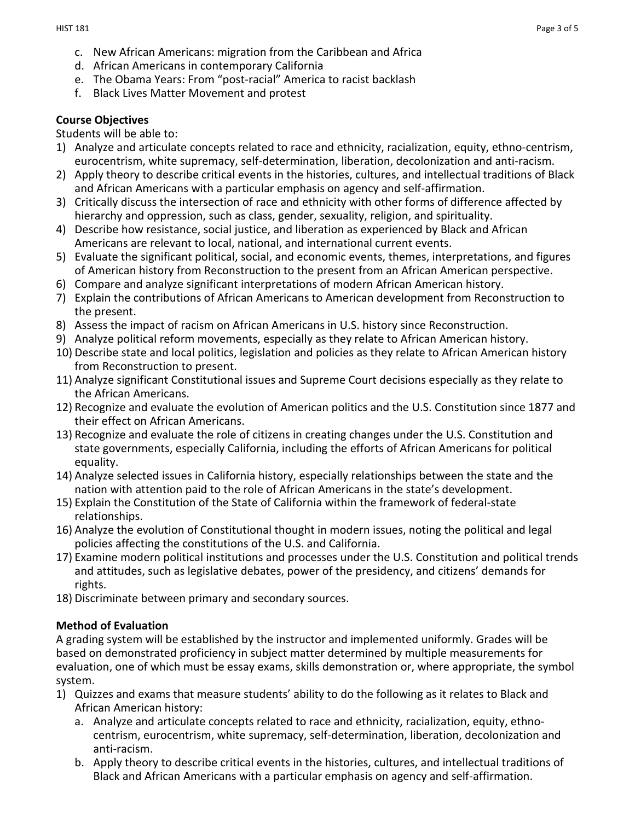- c. New African Americans: migration from the Caribbean and Africa
- d. African Americans in contemporary California
- e. The Obama Years: From "post-racial" America to racist backlash
- f. Black Lives Matter Movement and protest

### **Course Objectives**

Students will be able to:

- 1) Analyze and articulate concepts related to race and ethnicity, racialization, equity, ethno-centrism, eurocentrism, white supremacy, self-determination, liberation, decolonization and anti-racism.
- 2) Apply theory to describe critical events in the histories, cultures, and intellectual traditions of Black and African Americans with a particular emphasis on agency and self-affirmation.
- 3) Critically discuss the intersection of race and ethnicity with other forms of difference affected by hierarchy and oppression, such as class, gender, sexuality, religion, and spirituality.
- 4) Describe how resistance, social justice, and liberation as experienced by Black and African Americans are relevant to local, national, and international current events.
- 5) Evaluate the significant political, social, and economic events, themes, interpretations, and figures of American history from Reconstruction to the present from an African American perspective.
- 6) Compare and analyze significant interpretations of modern African American history.
- 7) Explain the contributions of African Americans to American development from Reconstruction to the present.
- 8) Assess the impact of racism on African Americans in U.S. history since Reconstruction.
- 9) Analyze political reform movements, especially as they relate to African American history.
- 10) Describe state and local politics, legislation and policies as they relate to African American history from Reconstruction to present.
- 11) Analyze significant Constitutional issues and Supreme Court decisions especially as they relate to the African Americans.
- 12) Recognize and evaluate the evolution of American politics and the U.S. Constitution since 1877 and their effect on African Americans.
- 13) Recognize and evaluate the role of citizens in creating changes under the U.S. Constitution and state governments, especially California, including the efforts of African Americans for political equality.
- 14) Analyze selected issues in California history, especially relationships between the state and the nation with attention paid to the role of African Americans in the state's development.
- 15) Explain the Constitution of the State of California within the framework of federal-state relationships.
- 16) Analyze the evolution of Constitutional thought in modern issues, noting the political and legal policies affecting the constitutions of the U.S. and California.
- 17) Examine modern political institutions and processes under the U.S. Constitution and political trends and attitudes, such as legislative debates, power of the presidency, and citizens' demands for rights.
- 18) Discriminate between primary and secondary sources.

### **Method of Evaluation**

A grading system will be established by the instructor and implemented uniformly. Grades will be based on demonstrated proficiency in subject matter determined by multiple measurements for evaluation, one of which must be essay exams, skills demonstration or, where appropriate, the symbol system.

- 1) Quizzes and exams that measure students' ability to do the following as it relates to Black and African American history:
	- a. Analyze and articulate concepts related to race and ethnicity, racialization, equity, ethnocentrism, eurocentrism, white supremacy, self-determination, liberation, decolonization and anti-racism.
	- b. Apply theory to describe critical events in the histories, cultures, and intellectual traditions of Black and African Americans with a particular emphasis on agency and self-affirmation.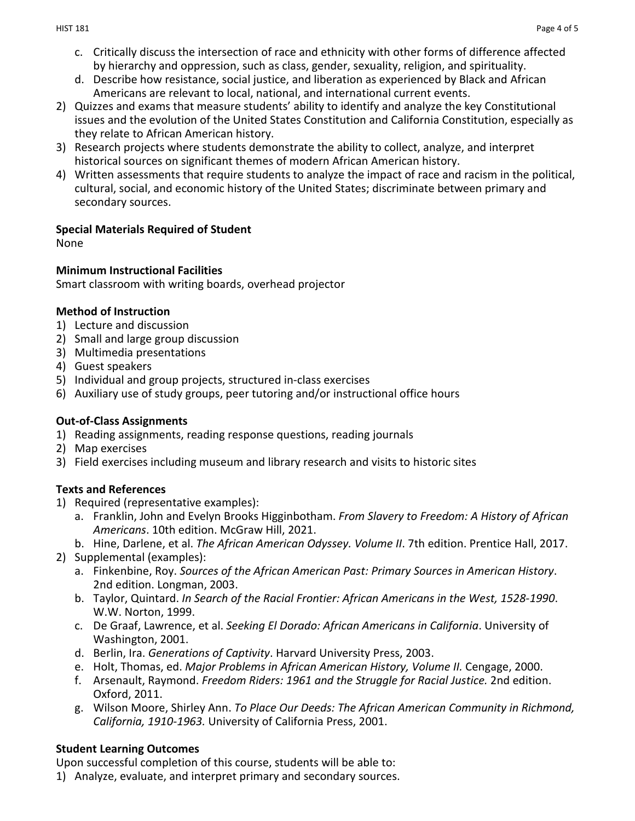- c. Critically discuss the intersection of race and ethnicity with other forms of difference affected by hierarchy and oppression, such as class, gender, sexuality, religion, and spirituality.
- d. Describe how resistance, social justice, and liberation as experienced by Black and African Americans are relevant to local, national, and international current events.
- 2) Quizzes and exams that measure students' ability to identify and analyze the key Constitutional issues and the evolution of the United States Constitution and California Constitution, especially as they relate to African American history.
- 3) Research projects where students demonstrate the ability to collect, analyze, and interpret historical sources on significant themes of modern African American history.
- 4) Written assessments that require students to analyze the impact of race and racism in the political, cultural, social, and economic history of the United States; discriminate between primary and secondary sources.

### **Special Materials Required of Student**

None

### **Minimum Instructional Facilities**

Smart classroom with writing boards, overhead projector

### **Method of Instruction**

- 1) Lecture and discussion
- 2) Small and large group discussion
- 3) Multimedia presentations
- 4) Guest speakers
- 5) Individual and group projects, structured in-class exercises
- 6) Auxiliary use of study groups, peer tutoring and/or instructional office hours

# **Out-of-Class Assignments**

- 1) Reading assignments, reading response questions, reading journals
- 2) Map exercises
- 3) Field exercises including museum and library research and visits to historic sites

# **Texts and References**

- 1) Required (representative examples):
	- a. Franklin, John and Evelyn Brooks Higginbotham. *From Slavery to Freedom: A History of African Americans*. 10th edition. McGraw Hill, 2021.
	- b. Hine, Darlene, et al. *The African American Odyssey. Volume II*. 7th edition. Prentice Hall, 2017.
- 2) Supplemental (examples):
	- a. Finkenbine, Roy. *Sources of the African American Past: Primary Sources in American History*. 2nd edition. Longman, 2003.
	- b. Taylor, Quintard. *In Search of the Racial Frontier: African Americans in the West, 1528-1990*. W.W. Norton, 1999.
	- c. De Graaf, Lawrence, et al. *Seeking El Dorado: African Americans in California*. University of Washington, 2001.
	- d. Berlin, Ira. *Generations of Captivity*. Harvard University Press, 2003.
	- e. Holt, Thomas, ed. *Major Problems in African American History, Volume II.* Cengage, 2000.
	- f. Arsenault, Raymond. *Freedom Riders: 1961 and the Struggle for Racial Justice.* 2nd edition. Oxford, 2011.
	- g. Wilson Moore, Shirley Ann. *To Place Our Deeds: The African American Community in Richmond, California, 1910-1963.* University of California Press, 2001.

# **Student Learning Outcomes**

Upon successful completion of this course, students will be able to:

1) Analyze, evaluate, and interpret primary and secondary sources.